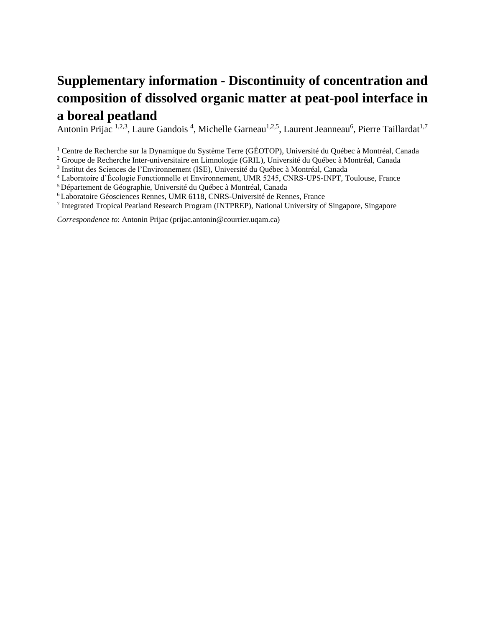## **Supplementary information - Discontinuity of concentration and composition of dissolved organic matter at peat-pool interface in a boreal peatland**

Antonin Prijac <sup>1,2,3</sup>, Laure Gandois <sup>4</sup>, Michelle Garneau<sup>1,2,5</sup>, Laurent Jeanneau<sup>6</sup>, Pierre Taillardat<sup>1,7</sup>

<sup>1</sup> Centre de Recherche sur la Dynamique du Système Terre (GÉOTOP), Université du Québec à Montréal, Canada

<sup>2</sup> Groupe de Recherche Inter-universitaire en Limnologie (GRIL), Université du Québec à Montréal, Canada

3 Institut des Sciences de l'Environnement (ISE), Université du Québec à Montréal, Canada

<sup>4</sup> Laboratoire d'Écologie Fonctionnelle et Environnement, UMR 5245, CNRS-UPS-INPT, Toulouse, France

<sup>5</sup>Département de Géographie, Université du Québec à Montréal, Canada

<sup>6</sup>Laboratoire Géosciences Rennes, UMR 6118, CNRS-Université de Rennes, France

7 Integrated Tropical Peatland Research Program (INTPREP), National University of Singapore, Singapore

*Correspondence to*: Antonin Prijac (prijac.antonin@courrier.uqam.ca)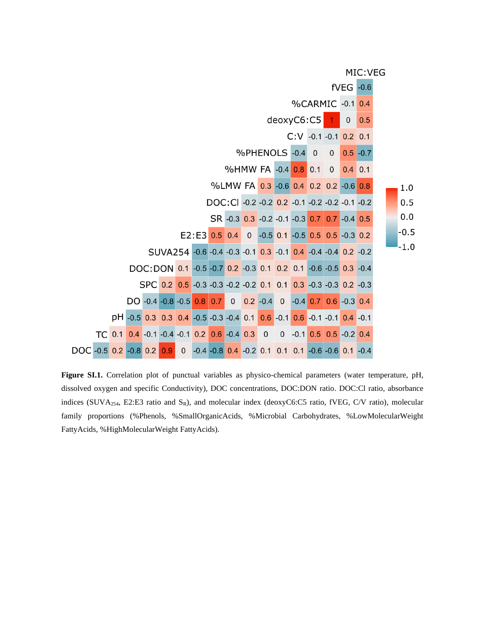MIC: VEG



**Figure SI.1.** Correlation plot of punctual variables as physico-chemical parameters (water temperature, pH, dissolved oxygen and specific Conductivity), DOC concentrations, DOC:DON ratio. DOC:Cl ratio, absorbance indices (SUVA<sub>254</sub>, E2:E3 ratio and S<sub>R</sub>), and molecular index (deoxyC6:C5 ratio, fVEG, C/V ratio), molecular family proportions (%Phenols, %SmallOrganicAcids, %Microbial Carbohydrates, %LowMolecularWeight FattyAcids, %HighMolecularWeight FattyAcids).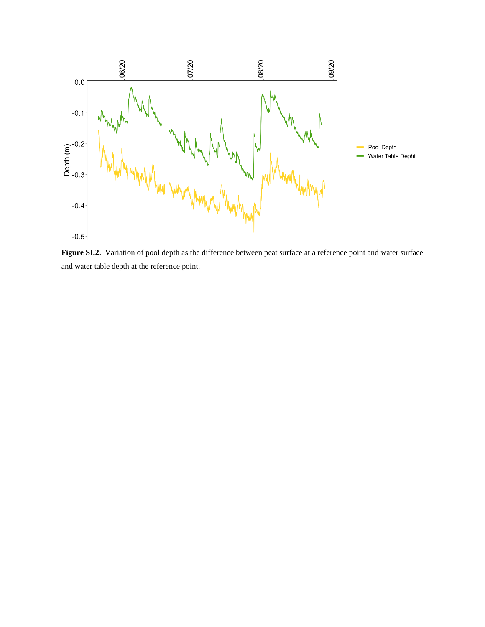

**Figure SI.2.** Variation of pool depth as the difference between peat surface at a reference point and water surface and water table depth at the reference point.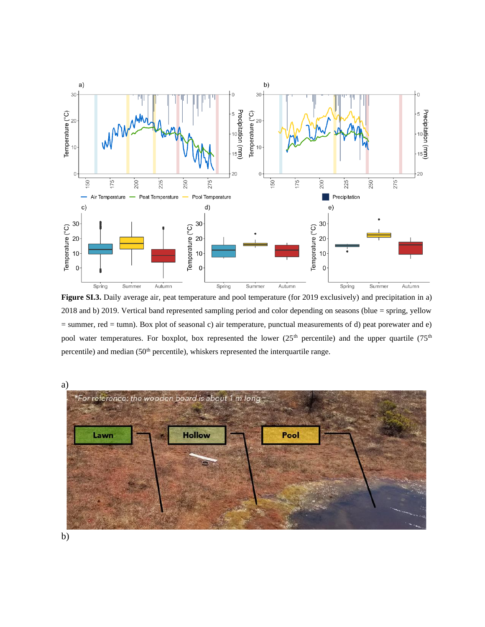

**Figure SI.3.** Daily average air, peat temperature and pool temperature (for 2019 exclusively) and precipitation in a) 2018 and b) 2019. Vertical band represented sampling period and color depending on seasons (blue = spring, yellow = summer, red = tumn). Box plot of seasonal c) air temperature, punctual measurements of d) peat porewater and e) pool water temperatures. For boxplot, box represented the lower (25<sup>th</sup> percentile) and the upper quartile (75<sup>th</sup> percentile) and median (50<sup>th</sup> percentile), whiskers represented the interquartile range.



b)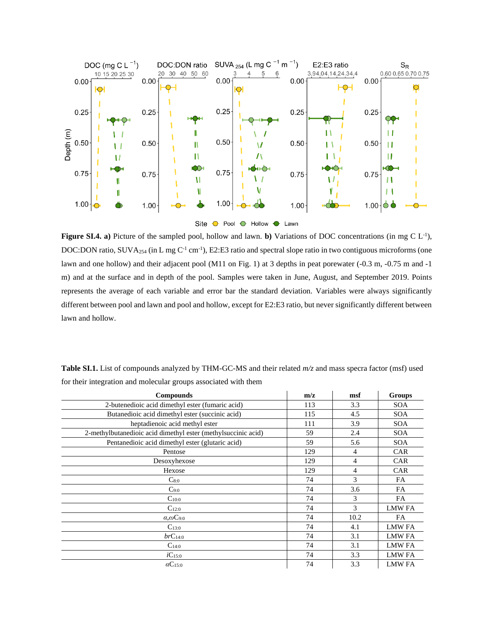

**Figure SI.4. a)** Picture of the sampled pool, hollow and lawn. **b**) Variations of DOC concentrations (in mg C  $L^{-1}$ ), DOC:DON ratio, SUVA<sub>254</sub> (in L mg C<sup>-1</sup> cm<sup>-1</sup>), E2:E3 ratio and spectral slope ratio in two contiguous microforms (one lawn and one hollow) and their adjacent pool (M11 on Fig. 1) at 3 depths in peat porewater (-0.3 m, -0.75 m and -1 m) and at the surface and in depth of the pool. Samples were taken in June, August, and September 2019. Points represents the average of each variable and error bar the standard deviation. Variables were always significantly different between pool and lawn and pool and hollow, except for E2:E3 ratio, but never significantly different between lawn and hollow.

| <b>Compounds</b>                                              | m/z | msf            | <b>Groups</b> |
|---------------------------------------------------------------|-----|----------------|---------------|
| 2-butenedioic acid dimethyl ester (fumaric acid)              | 113 | 3.3            | <b>SOA</b>    |
| Butanedioic acid dimethyl ester (succinic acid)               | 115 | 4.5            | <b>SOA</b>    |
| heptadienoic acid methyl ester                                | 111 | 3.9            | <b>SOA</b>    |
| 2-methylbutanedioic acid dimethyl ester (methylsuccinic acid) | 59  | 2.4            | <b>SOA</b>    |
| Pentanedioic acid dimethyl ester (glutaric acid)              | 59  | 5.6            | <b>SOA</b>    |
| Pentose                                                       | 129 | 4              | <b>CAR</b>    |
| Desoxyhexose                                                  | 129 | $\overline{4}$ | <b>CAR</b>    |
| Hexose                                                        | 129 | $\overline{4}$ | <b>CAR</b>    |
| $C_{8:0}$                                                     | 74  | 3              | <b>FA</b>     |
| $C_{9:0}$                                                     | 74  | 3.6            | FA            |
| $C_{10:0}$                                                    | 74  | 3              | FA            |
| $C_{12:0}$                                                    | 74  | 3              | <b>LMW FA</b> |
| $\alpha$ , $\omega$ C <sub>9:0</sub>                          | 74  | 10.2           | FA            |
| $C_{13:0}$                                                    | 74  | 4.1            | <b>LMW FA</b> |
| $brC_{14:0}$                                                  | 74  | 3.1            | <b>LMW FA</b> |
| $C_{14:0}$                                                    | 74  | 3.1            | <b>LMW FA</b> |
| $iC_{15:0}$                                                   | 74  | 3.3            | <b>LMW FA</b> |
| $\alpha C_{15:0}$                                             | 74  | 3.3            | <b>LMW FA</b> |

**Table SI.1.** List of compounds analyzed by THM-GC-MS and their related *m/z* and mass specra factor (msf) used for their integration and molecular groups associated with them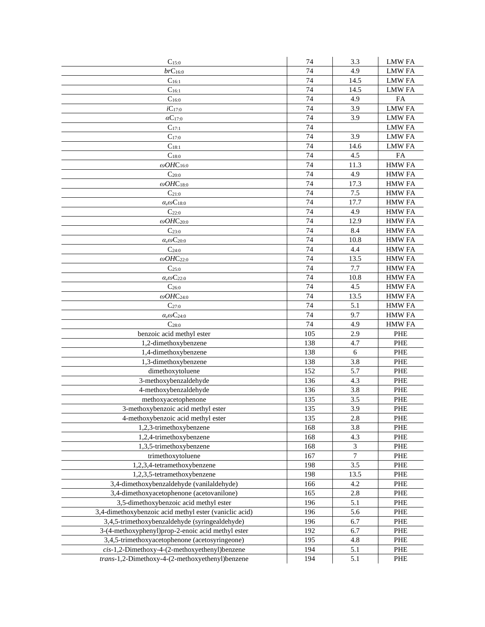| $C_{15:0}$                                             | 74  | 3.3            | <b>LMW FA</b> |
|--------------------------------------------------------|-----|----------------|---------------|
| $brC_{16:0}$                                           | 74  | 4.9            | <b>LMW FA</b> |
| $C_{16:1}$                                             | 74  | 14.5           | <b>LMW FA</b> |
| $C_{16:1}$                                             | 74  | 14.5           | <b>LMW FA</b> |
| $C_{16:0}$                                             | 74  | 4.9            | FA            |
| $iC_{17:0}$                                            | 74  | 3.9            | <b>LMW FA</b> |
| $\alpha C_{17:0}$                                      | 74  | 3.9            | <b>LMW FA</b> |
| $C_{17:1}$                                             | 74  |                | <b>LMW FA</b> |
| $C_{17:0}$                                             | 74  | 3.9            | <b>LMW FA</b> |
| $C_{18:1}$                                             | 74  | 14.6           | <b>LMW FA</b> |
| $C_{18:0}$                                             | 74  | 4.5            | FA            |
| $\omega OHC_{16:0}$                                    | 74  | 11.3           | <b>HMW FA</b> |
| $C_{20:0}$                                             | 74  | 4.9            | <b>HMW FA</b> |
| $\omega$ OHC18:0                                       | 74  | 17.3           | <b>HMW FA</b> |
| $C_{21:0}$                                             | 74  | 7.5            | <b>HMW FA</b> |
| $\alpha$ , $\omega$ C <sub>18:0</sub>                  | 74  | 17.7           | <b>HMW FA</b> |
| $C_{22:0}$                                             | 74  | 4.9            | <b>HMW FA</b> |
| $\omega$ OHC <sub>20:0</sub>                           | 74  | 12.9           | <b>HMW FA</b> |
| $C_{23:0}$                                             | 74  | 8.4            | <b>HMW FA</b> |
| $\alpha$ , $\omega$ C <sub>20:0</sub>                  | 74  | 10.8           | <b>HMW FA</b> |
| $C_{24:0}$                                             | 74  | 4.4            | <b>HMW FA</b> |
| $\omega$ OHC <sub>22:0</sub>                           | 74  | 13.5           | <b>HMW FA</b> |
| $C_{25:0}$                                             | 74  | 7.7            | <b>HMW FA</b> |
| $\alpha$ , $\omega$ C <sub>22:0</sub>                  | 74  | 10.8           | <b>HMW FA</b> |
| $C_{26:0}$                                             | 74  | 4.5            | <b>HMW FA</b> |
| $\omega$ OHC <sub>24:0</sub>                           | 74  | 13.5           | <b>HMW FA</b> |
| $C_{27:0}$                                             | 74  | 5.1            | <b>HMW FA</b> |
| $\alpha$ , $\omega$ C <sub>24:0</sub>                  | 74  | 9.7            | <b>HMW FA</b> |
| $C_{28:0}$                                             | 74  | 4.9            | <b>HMW FA</b> |
| benzoic acid methyl ester                              | 105 | 2.9            | PHE           |
| 1,2-dimethoxybenzene                                   | 138 | 4.7            | PHE           |
| 1,4-dimethoxybenzene                                   | 138 | 6              | <b>PHE</b>    |
| 1,3-dimethoxybenzene                                   | 138 | 3.8            | <b>PHE</b>    |
| dimethoxytoluene                                       | 152 | 5.7            | PHE           |
| 3-methoxybenzaldehyde                                  | 136 | 4.3            | PHE           |
| 4-methoxybenzaldehyde                                  | 136 | 3.8            | PHE           |
| methoxyacetophenone                                    | 135 | 3.5            | PHE           |
| 3-methoxybenzoic acid methyl ester                     | 135 | 3.9            | <b>PHE</b>    |
| 4-methoxybenzoic acid methyl ester                     | 135 | 2.8            | PHE           |
| 1,2,3-trimethoxybenzene                                | 168 | 3.8            | PHE           |
| 1,2,4-trimethoxybenzene                                | 168 | 4.3            | PHE           |
| 1,3,5-trimethoxybenzene                                | 168 | 3              | PHE           |
| trimethoxytoluene                                      | 167 | $\overline{7}$ | PHE           |
| 1,2,3,4-tetramethoxybenzene                            | 198 | 3.5            | PHE           |
| 1,2,3,5-tetramethoxybenzene                            | 198 | 13.5           | PHE           |
| 3,4-dimethoxybenzaldehyde (vanilaldehyde)              | 166 | 4.2            | PHE           |
| 3,4-dimethoxyacetophenone (acetovanilone)              | 165 | 2.8            | PHE           |
| 3,5-dimethoxybenzoic acid methyl ester                 | 196 | 5.1            | PHE           |
| 3,4-dimethoxybenzoic acid methyl ester (vaniclic acid) | 196 | 5.6            | PHE           |
| 3,4,5-trimethoxybenzaldehyde (syringealdehyde)         | 196 | 6.7            | PHE           |
| 3-(4-methoxyphenyl)prop-2-enoic acid methyl ester      | 192 | 6.7            | PHE           |
| 3,4,5-trimethoxyacetophenone (acetosyringeone)         | 195 | 4.8            | PHE           |
| $cis-1$ ,2-Dimethoxy-4-(2-methoxyethenyl)benzene       | 194 | 5.1            | PHE           |
| trans-1,2-Dimethoxy-4-(2-methoxyethenyl)benzene        | 194 | 5.1            | PHE           |
|                                                        |     |                |               |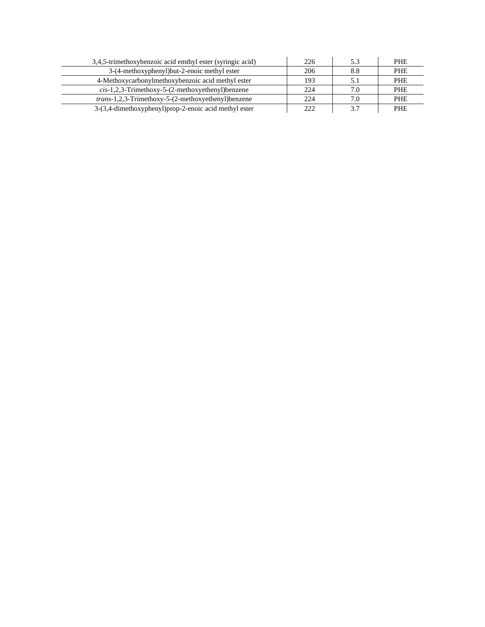| 3,4,5-trimethoxybenzoic acid emthyl ester (syringic acid)  | 226  | 5.3 | <b>PHE</b> |
|------------------------------------------------------------|------|-----|------------|
| 3-(4-methoxyphenyl)but-2-enoic methyl ester                | 206  | 8.8 | <b>PHE</b> |
| 4-Methoxycarbonylmethoxybenzoic acid methyl ester          | 193  |     | <b>PHE</b> |
| $cis-1,2,3$ -Trimethoxy-5-(2-methoxyethenyl)benzene        | 22.4 | 7.0 | <b>PHE</b> |
| <i>trans</i> -1,2,3-Trimethoxy-5-(2-methoxyethenyl)benzene | 224  | 7.0 | <b>PHE</b> |
| 3-(3,4-dimethoxyphenyl) prop-2-enoic acid methyl ester     | 222  | 3.7 | <b>PHE</b> |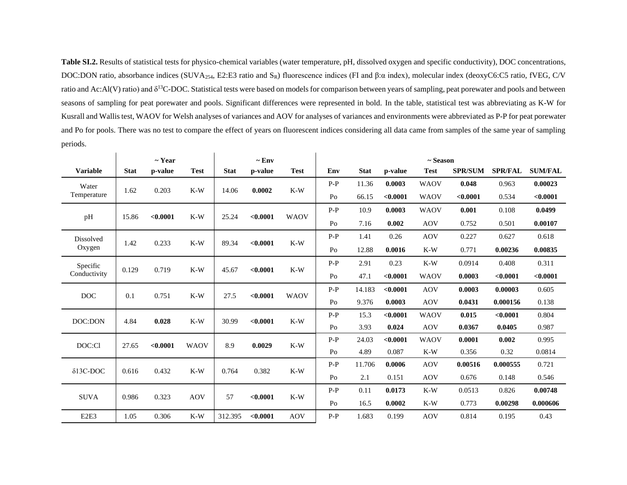**Table SI.2.** Results of statistical tests for physico-chemical variables (water temperature, pH, dissolved oxygen and specific conductivity), DOC concentrations, DOC:DON ratio, absorbance indices (SUVA<sub>254</sub>, E2:E3 ratio and S<sub>R</sub>) fluorescence indices (FI and β:α index), molecular index (deoxyC6:C5 ratio, fVEG, C/V ratio and Ac:Al(V) ratio) and  $\delta^{13}$ C-DOC. Statistical tests were based on models for comparison between years of sampling, peat porewater and pools and between seasons of sampling for peat porewater and pools. Significant differences were represented in bold. In the table, statistical test was abbreviating as K-W for Kusrall and Wallis test, WAOV for Welsh analyses of variances and AOV for analyses of variances and environments were abbreviated as P-P for peat porewater and Po for pools. There was no test to compare the effect of years on fluorescent indices considering all data came from samples of the same year of sampling periods.

|                               |             | $\sim$ Year |             |             | $\sim$ Env        |             | $\sim$ Season |             |          |             |                |                                 |                |             |          |             |            |          |          |
|-------------------------------|-------------|-------------|-------------|-------------|-------------------|-------------|---------------|-------------|----------|-------------|----------------|---------------------------------|----------------|-------------|----------|-------------|------------|----------|----------|
| <b>Variable</b>               | <b>Stat</b> | p-value     | <b>Test</b> | <b>Stat</b> | p-value           | <b>Test</b> | Env           | <b>Stat</b> | p-value  | <b>Test</b> | <b>SPR/SUM</b> | <b>SPR/FAL</b>                  | <b>SUM/FAL</b> |             |          |             |            |          |          |
| Water                         |             |             |             |             |                   |             |               |             |          | $P-P$       | 11.36          | 0.0003                          | <b>WAOV</b>    | 0.048       | 0.963    | 0.00023     |            |          |          |
| Temperature                   | 1.62        | 0.203       | $K-W$       | 14.06       | 0.0002            | $K-W$       | Po            | 66.15       | < 0.0001 | <b>WAOV</b> | < 0.0001       | 0.534                           | < 0.0001       |             |          |             |            |          |          |
|                               |             |             |             |             | < 0.0001<br>25.24 |             | $P-P$         | 10.9        | 0.0003   | <b>WAOV</b> | 0.001          | 0.108                           | 0.0499         |             |          |             |            |          |          |
| pH                            | 15.86       | < 0.0001    | $K-W$       |             |                   | <b>WAOV</b> | Po            | 7.16        | 0.002    | <b>AOV</b>  | 0.752          | 0.501                           | 0.00107        |             |          |             |            |          |          |
| Dissolved                     | 1.42        |             | $K-W$       | 89.34       | < 0.0001<br>$K-W$ |             | $P-P$         | 1.41        | 0.26     | <b>AOV</b>  | 0.227          | 0.627                           | 0.618          |             |          |             |            |          |          |
| Oxygen                        |             | 0.233       |             |             |                   |             | Po            | 12.88       | 0.0016   | $K-W$       | 0.771          | 0.00236                         | 0.00835        |             |          |             |            |          |          |
| Specific                      |             |             |             |             |                   |             |               | $P-P$       | 2.91     | 0.23        | $K-W$          | 0.0914                          | 0.408          | 0.311       |          |             |            |          |          |
| Conductivity                  | 0.129       |             |             |             | 0.719             | $K-W$       | 45.67         |             | < 0.0001 | $K-W$       | Po             | 47.1                            | < 0.0001       | <b>WAOV</b> | 0.0003   | < 0.0001    | < 0.0001   |          |          |
| <b>DOC</b>                    | 0.1         | 0.751       |             |             |                   |             | $P-P$         | 14.183      | < 0.0001 | <b>AOV</b>  | 0.0003         | 0.00003                         | 0.605          |             |          |             |            |          |          |
|                               |             |             |             |             |                   |             |               |             |          | $K-W$       |                | < 0.0001<br>27.5<br><b>WAOV</b> |                | Po          | 9.376    | 0.0003      | <b>AOV</b> | 0.0431   | 0.000156 |
| DOC:DON                       | 4.84        |             |             |             | 0.028             |             | $K-W$         | 30.99       |          |             | < 0.0001       | $K-W$                           | $P-P$          | 15.3        | < 0.0001 | <b>WAOV</b> | 0.015      | < 0.0001 | 0.804    |
|                               |             |             |             |             |                   |             | Po            | 3.93        | 0.024    | <b>AOV</b>  | 0.0367         | 0.0405                          | 0.987          |             |          |             |            |          |          |
| DOC:Cl                        | 27.65       | < 0.0001    | <b>WAOV</b> | 8.9         | 0.0029            | $K-W$       | $P-P$         | 24.03       | < 0.0001 | <b>WAOV</b> | 0.0001         | 0.002                           | 0.995          |             |          |             |            |          |          |
|                               |             |             |             |             |                   |             | Po            | 4.89        | 0.087    | $K-W$       | 0.356          | 0.32                            | 0.0814         |             |          |             |            |          |          |
| $\delta$ 13C-DOC              | 0.616       | 0.432       | $K-W$       | 0.764       |                   | $K-W$       | $P-P$         | 11.706      | 0.0006   | <b>AOV</b>  | 0.00516        | 0.000555                        | 0.721          |             |          |             |            |          |          |
|                               |             |             |             |             | 0.382             |             | Po            | 2.1         | 0.151    | <b>AOV</b>  | 0.676          | 0.148                           | 0.546          |             |          |             |            |          |          |
| <b>SUVA</b>                   | 0.986       | 0.323       | <b>AOV</b>  | 57          | < 0.0001          | $K-W$       | $P-P$         | 0.11        | 0.0173   | $K-W$       | 0.0513         | 0.826                           | 0.00748        |             |          |             |            |          |          |
|                               |             |             |             |             |                   |             | Po            | 16.5        | 0.0002   | $K-W$       | 0.773          | 0.00298                         | 0.000606       |             |          |             |            |          |          |
| E <sub>2</sub> E <sub>3</sub> | 1.05        | 0.306       | $K-W$       | 312.395     | < 0.0001          | <b>AOV</b>  | $P-P$         | 1.683       | 0.199    | <b>AOV</b>  | 0.814          | 0.195                           | 0.43           |             |          |             |            |          |          |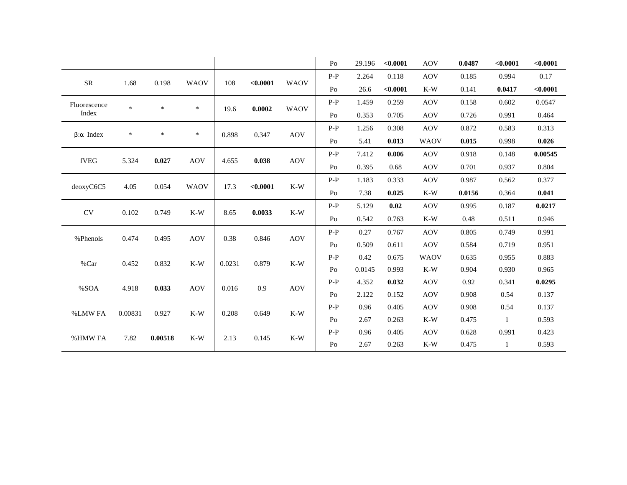|                          |         |                |             |       |          |             | Po             | 29.196        | < 0.0001               | <b>AOV</b> | 0.0487 | < 0.0001 | < 0.0001 |       |       |            |       |       |       |
|--------------------------|---------|----------------|-------------|-------|----------|-------------|----------------|---------------|------------------------|------------|--------|----------|----------|-------|-------|------------|-------|-------|-------|
|                          |         |                | <b>WAOV</b> |       |          |             | $P-P$          | 2.264         | 0.118                  | <b>AOV</b> | 0.185  | 0.994    | 0.17     |       |       |            |       |       |       |
| <b>SR</b>                | 1.68    | 0.198          |             | 108   | < 0.0001 | <b>WAOV</b> | Po             | 26.6          | < 0.0001               | $K-W$      | 0.141  | 0.0417   | < 0.0001 |       |       |            |       |       |       |
| Fluorescence             | $\ast$  | $\ast$         | $\ast$      |       | 0.0002   | <b>WAOV</b> | $P-P$          | 1.459         | 0.259                  | <b>AOV</b> | 0.158  | 0.602    | 0.0547   |       |       |            |       |       |       |
| Index                    |         |                |             | 19.6  |          |             | Po             | 0.353         | 0.705                  | <b>AOV</b> | 0.726  | 0.991    | 0.464    |       |       |            |       |       |       |
|                          | $\ast$  | *              | $\ast$      | 0.898 | 0.347    | <b>AOV</b>  | $P-P$          | 1.256         | 0.308                  | <b>AOV</b> | 0.872  | 0.583    | 0.313    |       |       |            |       |       |       |
| $\beta$ : $\alpha$ Index |         |                |             |       |          |             | Po             | 5.41<br>0.013 | <b>WAOV</b>            | 0.015      | 0.998  | 0.026    |          |       |       |            |       |       |       |
| fVEG                     | 5.324   | 0.027          | <b>AOV</b>  | 4.655 | 0.038    |             | $P-P$          | 7.412         | 0.006                  | <b>AOV</b> | 0.918  | 0.148    | 0.00545  |       |       |            |       |       |       |
|                          |         |                |             |       |          | <b>AOV</b>  | Po             | 0.395         | 0.68                   | <b>AOV</b> | 0.701  | 0.937    | 0.804    |       |       |            |       |       |       |
| deoxyC6C5<br>4.05        |         |                |             |       |          |             |                | 0.054         |                        | 17.3       |        |          | $P-P$    | 1.183 | 0.333 | <b>AOV</b> | 0.987 | 0.562 | 0.377 |
|                          |         |                | <b>WAOV</b> |       | < 0.0001 | $K-W$       | Po             | 7.38          | 0.025                  | $K-W$      | 0.0156 | 0.364    | 0.041    |       |       |            |       |       |       |
| <b>CV</b>                | 0.102   | 0.749          | $K-W$       | 8.65  | 0.0033   | $K-W$       | $P-P$          | 5.129         | 0.02                   | <b>AOV</b> | 0.995  | 0.187    | 0.0217   |       |       |            |       |       |       |
|                          |         |                |             |       |          |             | Po             | 0.542         | 0.763<br>$K-W$<br>0.48 | 0.511      | 0.946  |          |          |       |       |            |       |       |       |
| % Phenols                | 0.474   | 0.495          | <b>AOV</b>  | 0.38  | 0.846    | <b>AOV</b>  | $P-P$          | 0.27          | 0.767                  | <b>AOV</b> | 0.805  | 0.749    | 0.991    |       |       |            |       |       |       |
|                          |         |                |             |       |          |             | P <sub>O</sub> | 0.509         | 0.611                  | <b>AOV</b> | 0.584  | 0.719    | 0.951    |       |       |            |       |       |       |
| %Car                     | 0.452   | 0.832<br>$K-W$ | 0.0231      | 0.879 | $K-W$    | $P-P$       | 0.42           | 0.675         | <b>WAOV</b>            | 0.635      | 0.955  | 0.883    |          |       |       |            |       |       |       |
|                          |         |                |             |       |          |             | 0.0145<br>Po   | 0.993         | $K-W$                  | 0.904      | 0.930  | 0.965    |          |       |       |            |       |       |       |
| %SOA                     | 4.918   | 0.033          | <b>AOV</b>  | 0.016 | 0.9      | <b>AOV</b>  | $P-P$          | 4.352         | 0.032                  | <b>AOV</b> | 0.92   | 0.341    | 0.0295   |       |       |            |       |       |       |
|                          |         |                |             |       |          |             | Po             | 2.122         | 0.152                  | <b>AOV</b> | 0.908  | 0.54     | 0.137    |       |       |            |       |       |       |
| %LMW FA                  | 0.00831 | 0.927          | $K-W$       | 0.208 | 0.649    | $K-W$       | $P-P$          | 0.96          | 0.405                  | <b>AOV</b> | 0.908  | 0.54     | 0.137    |       |       |            |       |       |       |
|                          |         |                |             |       |          |             | Po             | 2.67          | 0.263                  | $K-W$      | 0.475  |          | 0.593    |       |       |            |       |       |       |
| %HMW FA                  | 7.82    | 0.00518        | $K-W$       | 2.13  | 0.145    | $K-W$       | $P-P$          | 0.96          | 0.405                  | <b>AOV</b> | 0.628  | 0.991    | 0.423    |       |       |            |       |       |       |
|                          |         |                |             |       |          |             | P <sub>O</sub> | 2.67          | 0.263                  | $K-W$      | 0.475  | 1        | 0.593    |       |       |            |       |       |       |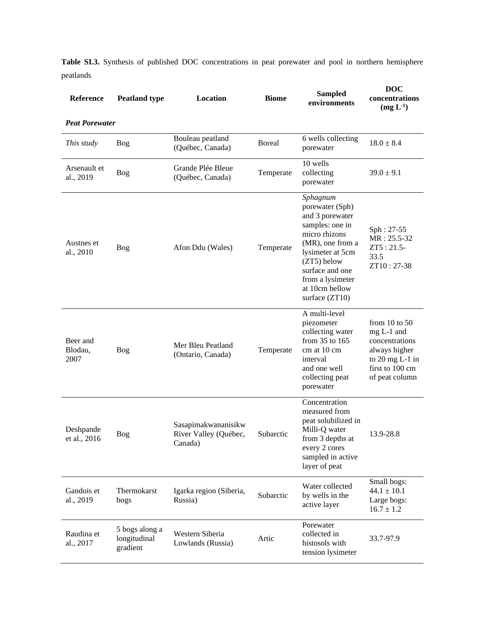**Table SI.3.** Synthesis of published DOC concentrations in peat porewater and pool in northern hemisphere peatlands

| Reference<br><b>Peat Porewater</b> | <b>Peatland type</b>                       | Location                                                | <b>Biome</b>  | <b>Sampled</b><br>environments                                                                                                                                                                                       | <b>DOC</b><br>concentrations<br>(mg L <sup>1</sup> )                                                                         |
|------------------------------------|--------------------------------------------|---------------------------------------------------------|---------------|----------------------------------------------------------------------------------------------------------------------------------------------------------------------------------------------------------------------|------------------------------------------------------------------------------------------------------------------------------|
| This study                         | Bog                                        | Bouleau peatland<br>(Québec, Canada)                    | <b>Boreal</b> | 6 wells collecting<br>porewater                                                                                                                                                                                      | $18.0 \pm 8.4$                                                                                                               |
| Arsenault et<br>al., 2019          | Bog                                        | Grande Plée Bleue<br>(Québec, Canada)                   | Temperate     | 10 wells<br>collecting<br>porewater                                                                                                                                                                                  | $39.0 \pm 9.1$                                                                                                               |
| Austnes et<br>al., 2010            | Bog                                        | Afon Ddu (Wales)                                        | Temperate     | Sphagnum<br>porewater (Sph)<br>and 3 porewater<br>samples: one in<br>micro rhizons<br>(MR), one from a<br>lysimeter at 5cm<br>(ZT5) below<br>surface and one<br>from a lysimeter<br>at 10cm bellow<br>surface (ZT10) | Sph: 27-55<br>MR: 25.5-32<br>$ZT5:21.5-$<br>33.5<br>ZT10:27-38                                                               |
| Beer and<br>Blodau,<br>2007        | Bog                                        | Mer Bleu Peatland<br>(Ontario, Canada)                  | Temperate     | A multi-level<br>piezometer<br>collecting water<br>from 35 to 165<br>cm at 10 cm<br>interval<br>and one well<br>collecting peat<br>porewater                                                                         | from $10$ to $50$<br>mg L-1 and<br>concentrations<br>always higher<br>to $20$ mg L-1 in<br>first to 100 cm<br>of peat column |
| Deshpande<br>et al., 2016          | Bog                                        | Sasapimakwananisikw<br>River Valley (Québec,<br>Canada) | Subarctic     | Concentration<br>measured from<br>peat solubilized in<br>Milli-Q water<br>from 3 depths at<br>every 2 cores<br>sampled in active<br>layer of peat                                                                    | 13.9-28.8                                                                                                                    |
| Gandois et<br>al., 2019            | Thermokarst<br>bogs                        | Igarka region (Siberia,<br>Russia)                      | Subarctic     | Water collected<br>by wells in the<br>active layer                                                                                                                                                                   | Small bogs:<br>$44.1 \pm 10.1$<br>Large bogs:<br>$16.7 \pm 1.2$                                                              |
| Raudina et<br>al., 2017            | 5 bogs along a<br>longitudinal<br>gradient | Western Siberia<br>Lowlands (Russia)                    | Artic         | Porewater<br>collected in<br>histosols with<br>tension lysimeter                                                                                                                                                     | 33.7-97.9                                                                                                                    |